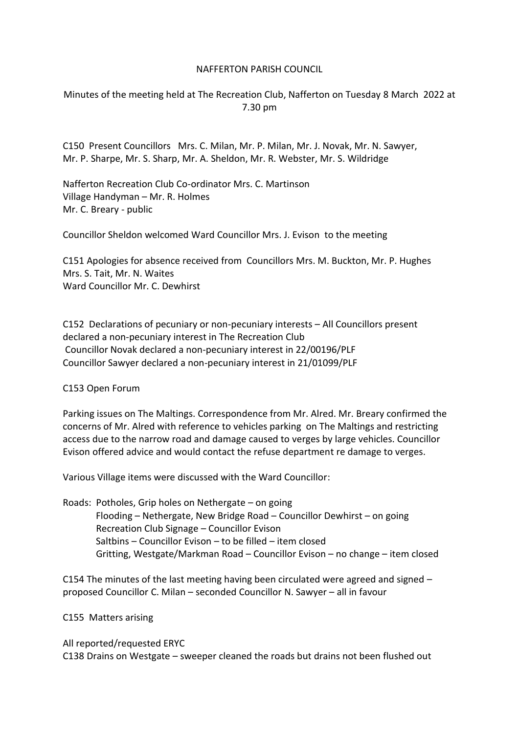## NAFFERTON PARISH COUNCIL

Minutes of the meeting held at The Recreation Club, Nafferton on Tuesday 8 March 2022 at 7.30 pm

C150 Present Councillors Mrs. C. Milan, Mr. P. Milan, Mr. J. Novak, Mr. N. Sawyer, Mr. P. Sharpe, Mr. S. Sharp, Mr. A. Sheldon, Mr. R. Webster, Mr. S. Wildridge

Nafferton Recreation Club Co-ordinator Mrs. C. Martinson Village Handyman – Mr. R. Holmes Mr. C. Breary - public

Councillor Sheldon welcomed Ward Councillor Mrs. J. Evison to the meeting

C151 Apologies for absence received from Councillors Mrs. M. Buckton, Mr. P. Hughes Mrs. S. Tait, Mr. N. Waites Ward Councillor Mr. C. Dewhirst

C152 Declarations of pecuniary or non-pecuniary interests – All Councillors present declared a non-pecuniary interest in The Recreation Club Councillor Novak declared a non-pecuniary interest in 22/00196/PLF Councillor Sawyer declared a non-pecuniary interest in 21/01099/PLF

C153 Open Forum

Parking issues on The Maltings. Correspondence from Mr. Alred. Mr. Breary confirmed the concerns of Mr. Alred with reference to vehicles parking on The Maltings and restricting access due to the narrow road and damage caused to verges by large vehicles. Councillor Evison offered advice and would contact the refuse department re damage to verges.

Various Village items were discussed with the Ward Councillor:

Roads: Potholes, Grip holes on Nethergate – on going Flooding – Nethergate, New Bridge Road – Councillor Dewhirst – on going Recreation Club Signage – Councillor Evison Saltbins – Councillor Evison – to be filled – item closed Gritting, Westgate/Markman Road – Councillor Evison – no change – item closed

C154 The minutes of the last meeting having been circulated were agreed and signed – proposed Councillor C. Milan – seconded Councillor N. Sawyer – all in favour

C155 Matters arising

All reported/requested ERYC C138 Drains on Westgate – sweeper cleaned the roads but drains not been flushed out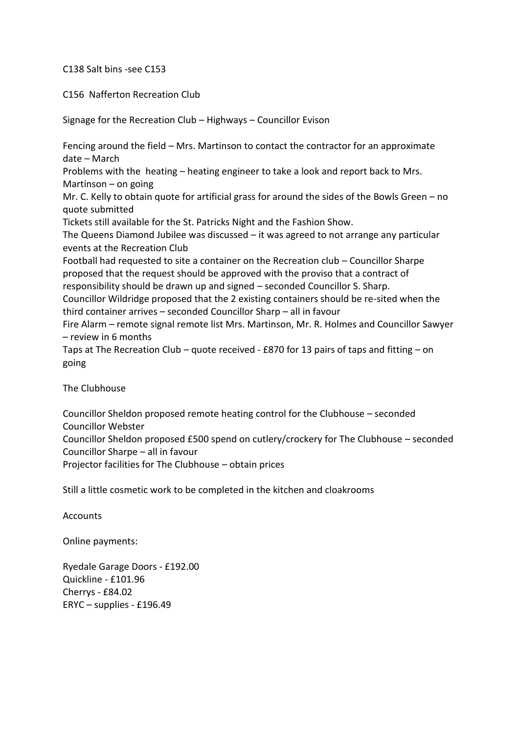## C138 Salt bins -see C153

## C156 Nafferton Recreation Club

Signage for the Recreation Club – Highways – Councillor Evison

Fencing around the field – Mrs. Martinson to contact the contractor for an approximate date – March Problems with the heating – heating engineer to take a look and report back to Mrs. Martinson – on going Mr. C. Kelly to obtain quote for artificial grass for around the sides of the Bowls Green – no quote submitted Tickets still available for the St. Patricks Night and the Fashion Show. The Queens Diamond Jubilee was discussed – it was agreed to not arrange any particular events at the Recreation Club Football had requested to site a container on the Recreation club – Councillor Sharpe proposed that the request should be approved with the proviso that a contract of responsibility should be drawn up and signed – seconded Councillor S. Sharp. Councillor Wildridge proposed that the 2 existing containers should be re-sited when the third container arrives – seconded Councillor Sharp – all in favour Fire Alarm – remote signal remote list Mrs. Martinson, Mr. R. Holmes and Councillor Sawyer – review in 6 months Taps at The Recreation Club – quote received - £870 for 13 pairs of taps and fitting – on going The Clubhouse

Councillor Sheldon proposed remote heating control for the Clubhouse – seconded Councillor Webster Councillor Sheldon proposed £500 spend on cutlery/crockery for The Clubhouse – seconded Councillor Sharpe – all in favour Projector facilities for The Clubhouse – obtain prices

Still a little cosmetic work to be completed in the kitchen and cloakrooms

**Accounts** 

Online payments:

Ryedale Garage Doors - £192.00 Quickline - £101.96 Cherrys - £84.02 ERYC – supplies - £196.49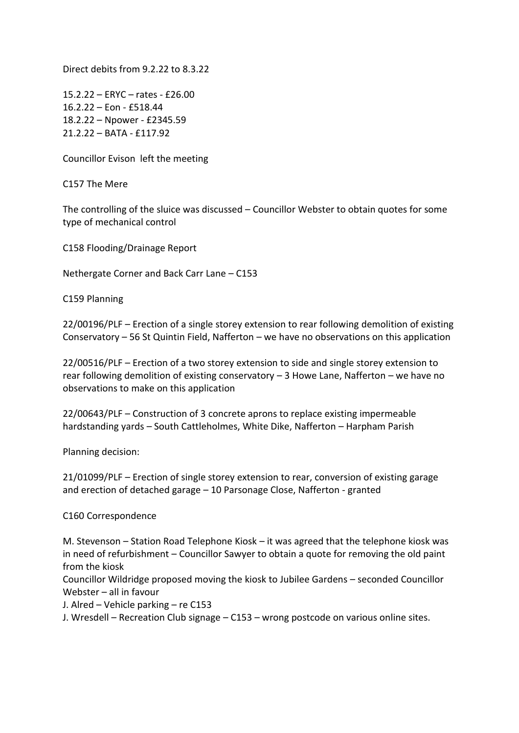Direct debits from 9.2.22 to 8.3.22

15.2.22 – ERYC – rates - £26.00 16.2.22 – Eon - £518.44 18.2.22 – Npower - £2345.59 21.2.22 – BATA - £117.92

Councillor Evison left the meeting

C157 The Mere

The controlling of the sluice was discussed – Councillor Webster to obtain quotes for some type of mechanical control

C158 Flooding/Drainage Report

Nethergate Corner and Back Carr Lane – C153

C159 Planning

22/00196/PLF – Erection of a single storey extension to rear following demolition of existing Conservatory – 56 St Quintin Field, Nafferton – we have no observations on this application

22/00516/PLF – Erection of a two storey extension to side and single storey extension to rear following demolition of existing conservatory – 3 Howe Lane, Nafferton – we have no observations to make on this application

22/00643/PLF – Construction of 3 concrete aprons to replace existing impermeable hardstanding yards – South Cattleholmes, White Dike, Nafferton – Harpham Parish

Planning decision:

21/01099/PLF – Erection of single storey extension to rear, conversion of existing garage and erection of detached garage – 10 Parsonage Close, Nafferton - granted

## C160 Correspondence

M. Stevenson – Station Road Telephone Kiosk – it was agreed that the telephone kiosk was in need of refurbishment – Councillor Sawyer to obtain a quote for removing the old paint from the kiosk

Councillor Wildridge proposed moving the kiosk to Jubilee Gardens – seconded Councillor Webster – all in favour

J. Alred – Vehicle parking – re C153

J. Wresdell – Recreation Club signage – C153 – wrong postcode on various online sites.